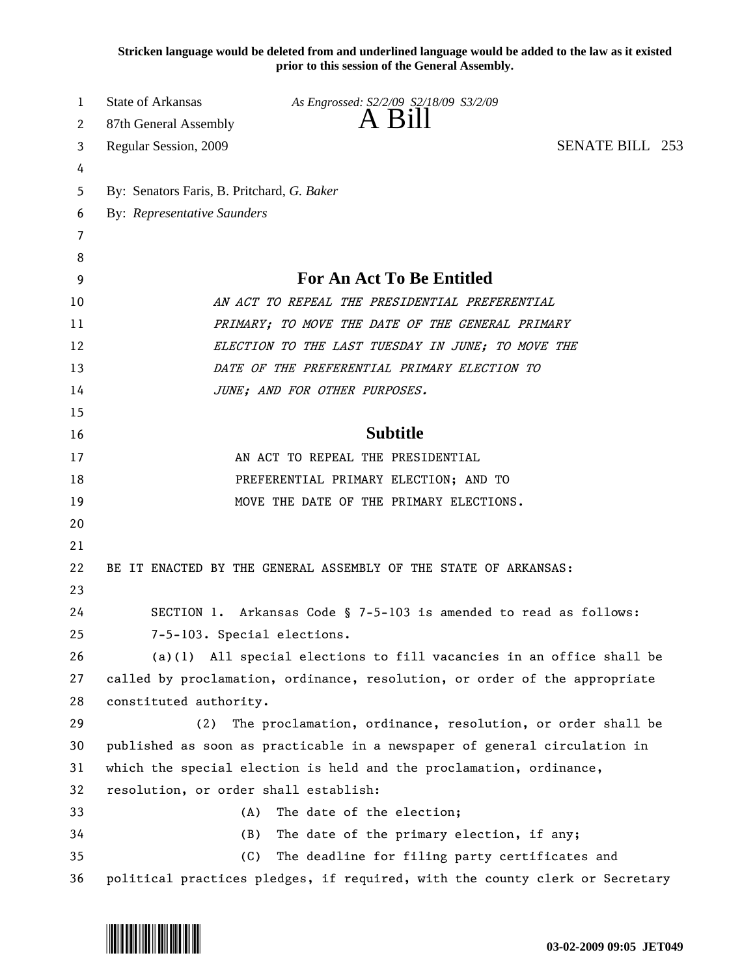**Stricken language would be deleted from and underlined language would be added to the law as it existed prior to this session of the General Assembly.**

| 1  | State of Arkansas                                                   | As Engrossed: S2/2/09 S2/18/09 S3/2/09                                       |  |  |  |
|----|---------------------------------------------------------------------|------------------------------------------------------------------------------|--|--|--|
| 2  | 87th General Assembly                                               | A Bill                                                                       |  |  |  |
| 3  | <b>SENATE BILL 253</b><br>Regular Session, 2009                     |                                                                              |  |  |  |
| 4  |                                                                     |                                                                              |  |  |  |
| 5  | By: Senators Faris, B. Pritchard, G. Baker                          |                                                                              |  |  |  |
| 6  | By: Representative Saunders                                         |                                                                              |  |  |  |
| 7  |                                                                     |                                                                              |  |  |  |
| 8  |                                                                     |                                                                              |  |  |  |
| 9  | <b>For An Act To Be Entitled</b>                                    |                                                                              |  |  |  |
| 10 | AN ACT TO REPEAL THE PRESIDENTIAL PREFERENTIAL                      |                                                                              |  |  |  |
| 11 |                                                                     | PRIMARY; TO MOVE THE DATE OF THE GENERAL PRIMARY                             |  |  |  |
| 12 |                                                                     | ELECTION TO THE LAST TUESDAY IN JUNE; TO MOVE THE                            |  |  |  |
| 13 |                                                                     | DATE OF THE PREFERENTIAL PRIMARY ELECTION TO                                 |  |  |  |
| 14 |                                                                     | JUNE; AND FOR OTHER PURPOSES.                                                |  |  |  |
| 15 |                                                                     |                                                                              |  |  |  |
| 16 |                                                                     | <b>Subtitle</b>                                                              |  |  |  |
| 17 |                                                                     | AN ACT TO REPEAL THE PRESIDENTIAL                                            |  |  |  |
| 18 | PREFERENTIAL PRIMARY ELECTION; AND TO                               |                                                                              |  |  |  |
| 19 | MOVE THE DATE OF THE PRIMARY ELECTIONS.                             |                                                                              |  |  |  |
| 20 |                                                                     |                                                                              |  |  |  |
| 21 |                                                                     |                                                                              |  |  |  |
| 22 |                                                                     | BE IT ENACTED BY THE GENERAL ASSEMBLY OF THE STATE OF ARKANSAS:              |  |  |  |
| 23 |                                                                     |                                                                              |  |  |  |
| 24 |                                                                     | SECTION 1. Arkansas Code § 7-5-103 is amended to read as follows:            |  |  |  |
| 25 | 7-5-103. Special elections.                                         |                                                                              |  |  |  |
| 26 |                                                                     | $(a)(1)$ All special elections to fill vacancies in an office shall be       |  |  |  |
| 27 |                                                                     | called by proclamation, ordinance, resolution, or order of the appropriate   |  |  |  |
| 28 | constituted authority.                                              |                                                                              |  |  |  |
| 29 | (2)                                                                 | The proclamation, ordinance, resolution, or order shall be                   |  |  |  |
| 30 |                                                                     | published as soon as practicable in a newspaper of general circulation in    |  |  |  |
| 31 | which the special election is held and the proclamation, ordinance, |                                                                              |  |  |  |
| 32 | resolution, or order shall establish:                               |                                                                              |  |  |  |
| 33 | (A)                                                                 | The date of the election;                                                    |  |  |  |
| 34 | (B)                                                                 | The date of the primary election, if any;                                    |  |  |  |
| 35 | (C)                                                                 | The deadline for filing party certificates and                               |  |  |  |
| 36 |                                                                     | political practices pledges, if required, with the county clerk or Secretary |  |  |  |

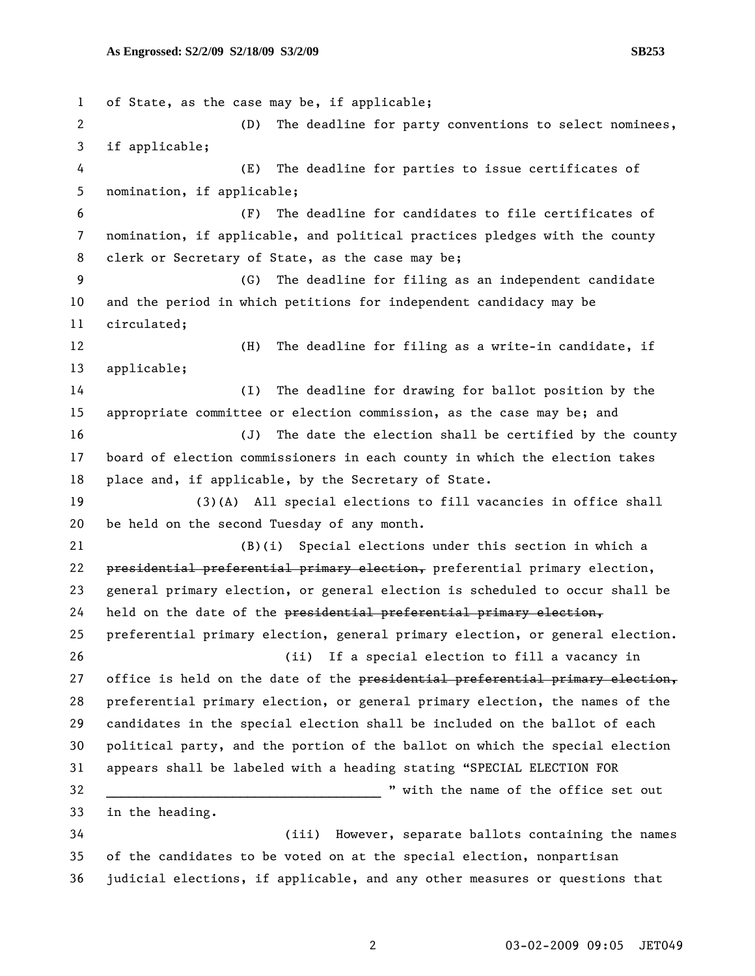1 of State, as the case may be, if applicable; 2 (D) The deadline for party conventions to select nominees, 3 if applicable; 4 (E) The deadline for parties to issue certificates of 5 nomination, if applicable; 6 (F) The deadline for candidates to file certificates of 7 nomination, if applicable, and political practices pledges with the county 8 clerk or Secretary of State, as the case may be; 9 (G) The deadline for filing as an independent candidate 10 and the period in which petitions for independent candidacy may be 11 circulated; 12 (H) The deadline for filing as a write-in candidate, if 13 applicable; 14 (I) The deadline for drawing for ballot position by the 15 appropriate committee or election commission, as the case may be; and 16 (J) The date the election shall be certified by the county 17 board of election commissioners in each county in which the election takes 18 place and, if applicable, by the Secretary of State. 19 (3)(A) All special elections to fill vacancies in office shall 20 be held on the second Tuesday of any month. 21 (B)(i) Special elections under this section in which a 22 presidential preferential primary election, preferential primary election, 23 general primary election, or general election is scheduled to occur shall be  $24$  held on the date of the presidential preferential primary election, 25 preferential primary election, general primary election, or general election. 26 (ii) If a special election to fill a vacancy in 27 office is held on the date of the presidential preferential primary election, 28 preferential primary election, or general primary election, the names of the 29 candidates in the special election shall be included on the ballot of each 30 political party, and the portion of the ballot on which the special election 31 appears shall be labeled with a heading stating "SPECIAL ELECTION FOR 32 \_\_\_\_\_\_\_\_\_\_\_\_\_\_\_\_\_\_\_\_\_\_\_\_\_\_\_\_\_\_\_\_\_\_\_\_\_ " with the name of the office set out 33 in the heading. 34 (iii) However, separate ballots containing the names 35 of the candidates to be voted on at the special election, nonpartisan 36 judicial elections, if applicable, and any other measures or questions that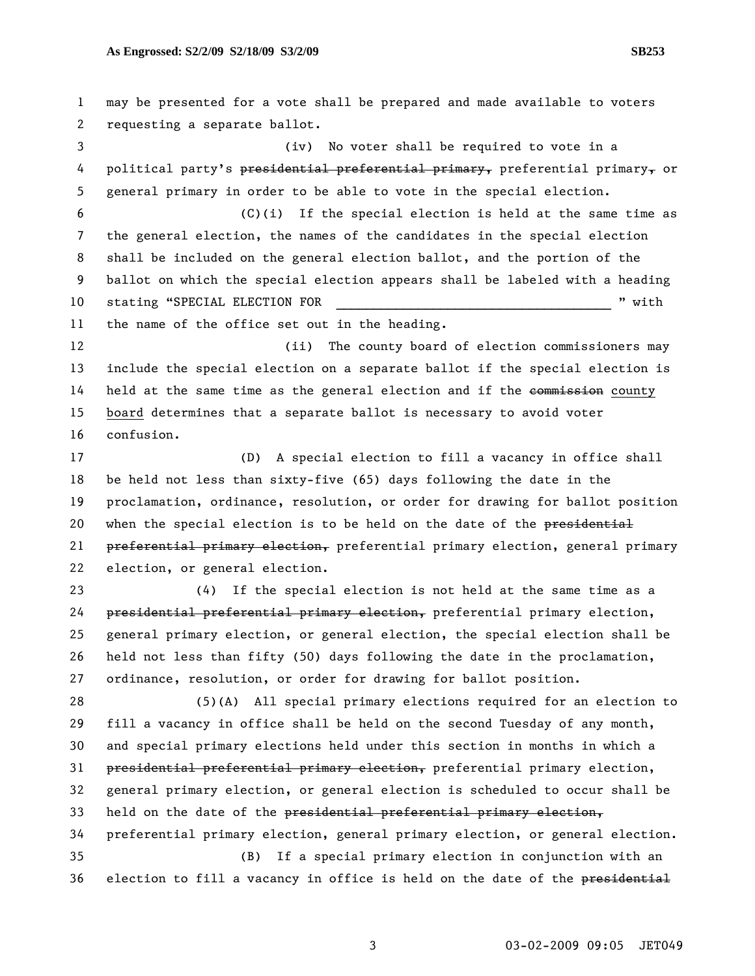2 requesting a separate ballot. 3 (iv) No voter shall be required to vote in a 4 political party's presidential preferential primary, preferential primary, or 5 general primary in order to be able to vote in the special election. 6 (C)(i) If the special election is held at the same time as 7 the general election, the names of the candidates in the special election 8 shall be included on the general election ballot, and the portion of the 9 ballot on which the special election appears shall be labeled with a heading 10 stating "SPECIAL ELECTION FOR THE REGISTER RESOLUTION FOR THE REGISTER STATISTICS AND REGISTER AND REGISTER 11 the name of the office set out in the heading. 12 (ii) The county board of election commissioners may 13 include the special election on a separate ballot if the special election is 14 held at the same time as the general election and if the commission county 15 board determines that a separate ballot is necessary to avoid voter 16 confusion. 17 (D) A special election to fill a vacancy in office shall 18 be held not less than sixty-five (65) days following the date in the 19 proclamation, ordinance, resolution, or order for drawing for ballot position 20 when the special election is to be held on the date of the presidential 21 preferential primary election, preferential primary election, general primary 22 election, or general election. 23 (4) If the special election is not held at the same time as a 24 presidential preferential primary election, preferential primary election, 25 general primary election, or general election, the special election shall be 26 held not less than fifty (50) days following the date in the proclamation, 27 ordinance, resolution, or order for drawing for ballot position. 28 (5)(A) All special primary elections required for an election to 29 fill a vacancy in office shall be held on the second Tuesday of any month, 30 and special primary elections held under this section in months in which a 31 presidential preferential primary election, preferential primary election, 32 general primary election, or general election is scheduled to occur shall be 33 held on the date of the presidential preferential primary election, 34 preferential primary election, general primary election, or general election. 35 (B) If a special primary election in conjunction with an 36 election to fill a vacancy in office is held on the date of the presidential

1 may be presented for a vote shall be prepared and made available to voters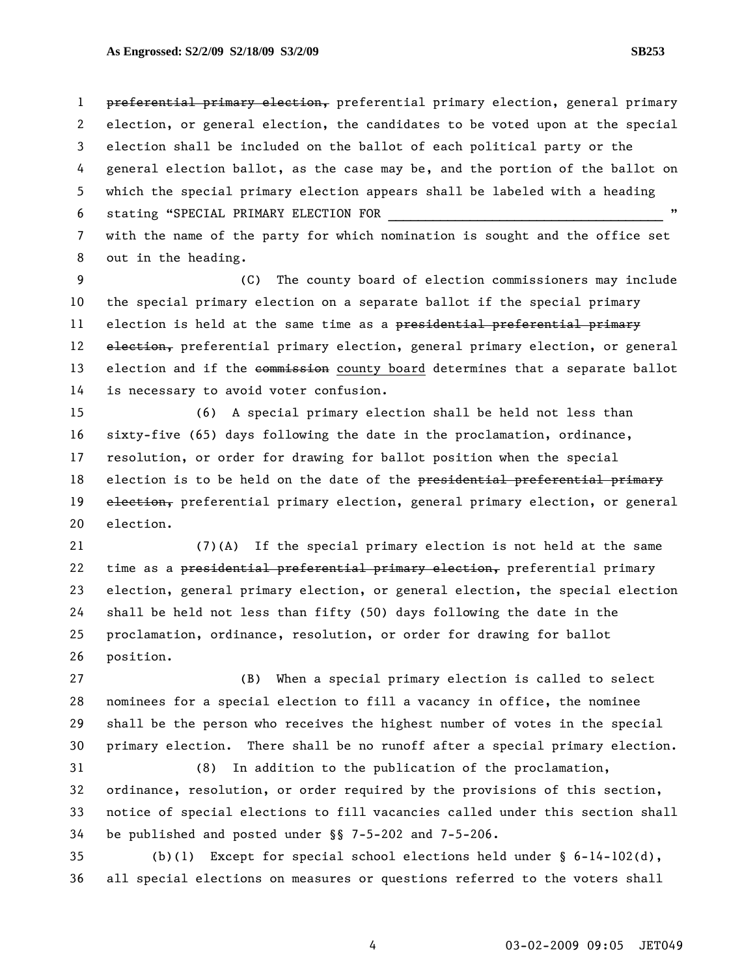1 preferential primary election, preferential primary election, general primary 2 election, or general election, the candidates to be voted upon at the special 3 election shall be included on the ballot of each political party or the 4 general election ballot, as the case may be, and the portion of the ballot on 5 which the special primary election appears shall be labeled with a heading 6 stating "SPECIAL PRIMARY ELECTION FOR 7 with the name of the party for which nomination is sought and the office set

8 out in the heading.

9 (C) The county board of election commissioners may include 10 the special primary election on a separate ballot if the special primary 11 election is held at the same time as a presidential preferential primary 12 election, preferential primary election, general primary election, or general 13 election and if the commission county board determines that a separate ballot 14 is necessary to avoid voter confusion.

15 (6) A special primary election shall be held not less than 16 sixty-five (65) days following the date in the proclamation, ordinance, 17 resolution, or order for drawing for ballot position when the special 18 election is to be held on the date of the presidential preferential primary 19 election, preferential primary election, general primary election, or general 20 election.

21 (7)(A) If the special primary election is not held at the same 22 time as a presidential preferential primary election, preferential primary 23 election, general primary election, or general election, the special election 24 shall be held not less than fifty (50) days following the date in the 25 proclamation, ordinance, resolution, or order for drawing for ballot 26 position.

27 (B) When a special primary election is called to select 28 nominees for a special election to fill a vacancy in office, the nominee 29 shall be the person who receives the highest number of votes in the special 30 primary election. There shall be no runoff after a special primary election.

31 (8) In addition to the publication of the proclamation, 32 ordinance, resolution, or order required by the provisions of this section, 33 notice of special elections to fill vacancies called under this section shall 34 be published and posted under §§ 7-5-202 and 7-5-206.

35 (b)(1) Except for special school elections held under § 6-14-102(d), 36 all special elections on measures or questions referred to the voters shall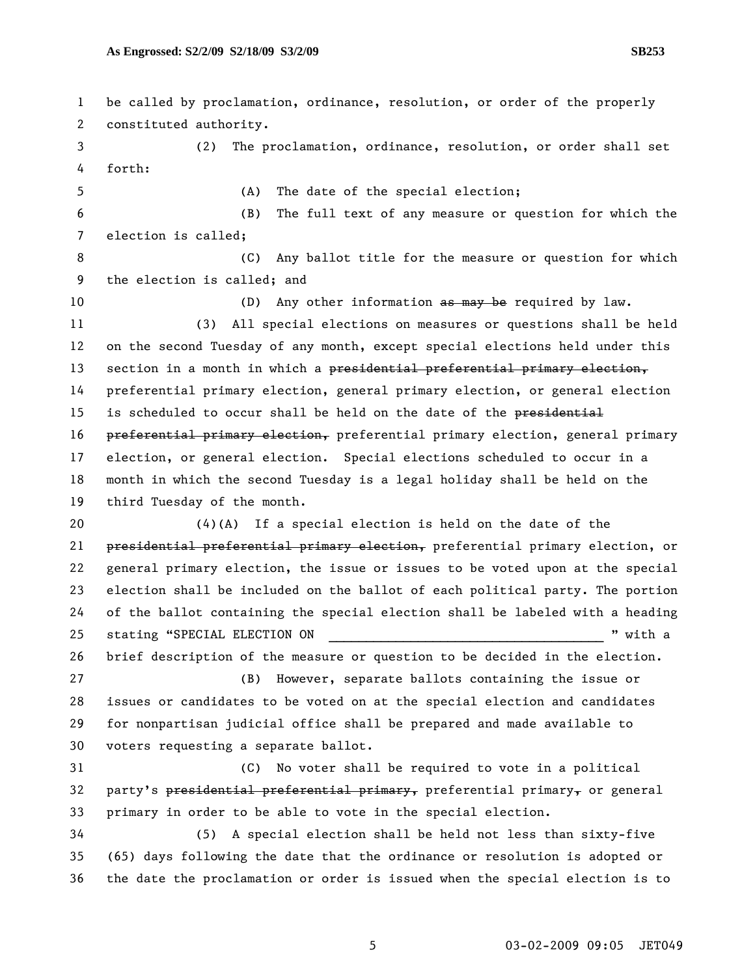1 be called by proclamation, ordinance, resolution, or order of the properly 2 constituted authority. 3 (2) The proclamation, ordinance, resolution, or order shall set 4 forth: 5 (A) The date of the special election; 6 (B) The full text of any measure or question for which the 7 election is called; 8 6 (C) Any ballot title for the measure or question for which 9 the election is called; and 10 (D) Any other information as may be required by law. 11 (3) All special elections on measures or questions shall be held 12 on the second Tuesday of any month, except special elections held under this 13 section in a month in which a presidential preferential primary election, 14 preferential primary election, general primary election, or general election 15 is scheduled to occur shall be held on the date of the presidential 16 preferential primary election, preferential primary election, general primary 17 election, or general election. Special elections scheduled to occur in a 18 month in which the second Tuesday is a legal holiday shall be held on the 19 third Tuesday of the month. 20  $(4)(A)$  If a special election is held on the date of the 21 presidential preferential primary election, preferential primary election, or 22 general primary election, the issue or issues to be voted upon at the special 23 election shall be included on the ballot of each political party. The portion 24 of the ballot containing the special election shall be labeled with a heading 25 stating "SPECIAL ELECTION ON  $\blacksquare$  " with a 26 brief description of the measure or question to be decided in the election. 27 (B) However, separate ballots containing the issue or 28 issues or candidates to be voted on at the special election and candidates 29 for nonpartisan judicial office shall be prepared and made available to 30 voters requesting a separate ballot. 31 (C) No voter shall be required to vote in a political 32 party's presidential preferential primary, preferential primary, or general 33 primary in order to be able to vote in the special election. 34 (5) A special election shall be held not less than sixty-five 35 (65) days following the date that the ordinance or resolution is adopted or 36 the date the proclamation or order is issued when the special election is to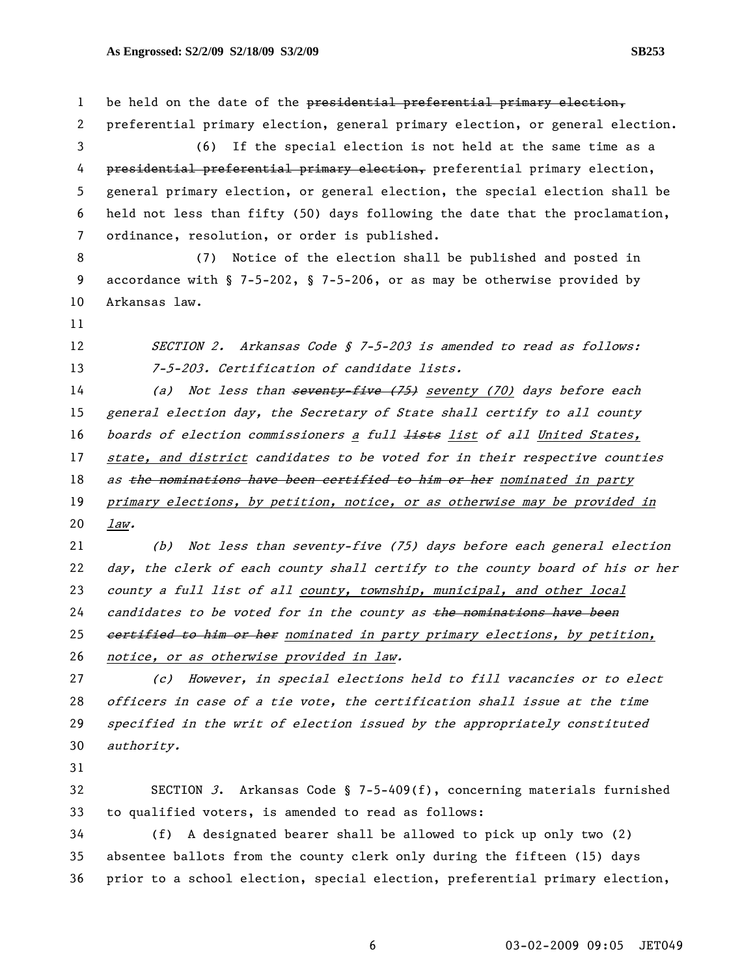1 be held on the date of the presidential preferential primary election, 2 preferential primary election, general primary election, or general election. 3 (6) If the special election is not held at the same time as a 4 presidential preferential primary election, preferential primary election, 5 general primary election, or general election, the special election shall be 6 held not less than fifty (50) days following the date that the proclamation, 7 ordinance, resolution, or order is published. 8 (7) Notice of the election shall be published and posted in 9 accordance with § 7-5-202, § 7-5-206, or as may be otherwise provided by 10 Arkansas law. 11 12 SECTION 2. Arkansas Code § 7-5-203 is amended to read as follows: 13 7-5-203. Certification of candidate lists. 14 (a) Not less than seventy five (75) seventy (70) days before each 15 general election day, the Secretary of State shall certify to all county 16 boards of election commissioners a full lists list of all United States, 17 state, and district candidates to be voted for in their respective counties 18 as the nominations have been certified to him or her nominated in party 19 primary elections, by petition, notice, or as otherwise may be provided in 20 law. 21 (b) Not less than seventy-five (75) days before each general election 22 day, the clerk of each county shall certify to the county board of his or her 23 county a full list of all county, township, municipal, and other local 24 candidates to be voted for in the county as the nominations have been 25 eertified to him or her nominated in party primary elections, by petition, 26 notice, or as otherwise provided in law. 27 (c) However, in special elections held to fill vacancies or to elect 28 officers in case of a tie vote, the certification shall issue at the time 29 specified in the writ of election issued by the appropriately constituted 30 authority. 31 32 SECTION 3. Arkansas Code § 7-5-409(f), concerning materials furnished 33 to qualified voters, is amended to read as follows: 34 (f) A designated bearer shall be allowed to pick up only two (2) 35 absentee ballots from the county clerk only during the fifteen (15) days

36 prior to a school election, special election, preferential primary election,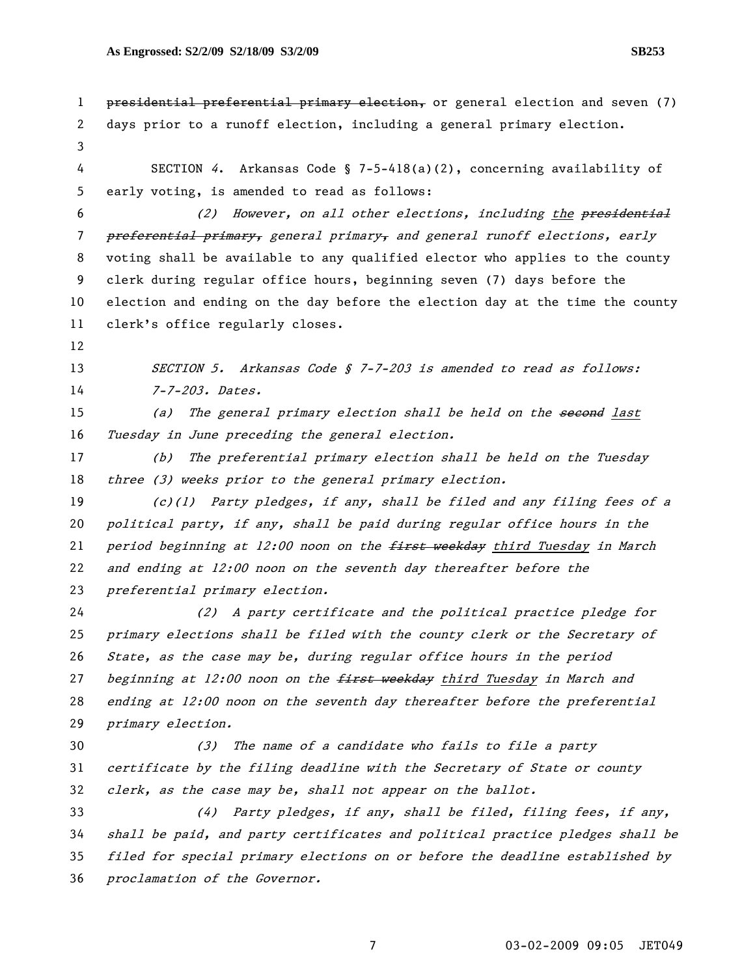1 presidential preferential primary election, or general election and seven (7) 2 days prior to a runoff election, including a general primary election. 3 4 SECTION 4. Arkansas Code § 7-5-418(a)(2), concerning availability of 5 early voting, is amended to read as follows: 6 (2) However, on all other elections, including the presidential 7 <del>preferential primary,</del> general primary, and general runoff elections, early 8 voting shall be available to any qualified elector who applies to the county 9 clerk during regular office hours, beginning seven (7) days before the 10 election and ending on the day before the election day at the time the county 11 clerk's office regularly closes. 12 13 SECTION 5. Arkansas Code § 7-7-203 is amended to read as follows: 14 7-7-203. Dates. 15 (a) The general primary election shall be held on the second last 16 Tuesday in June preceding the general election. 17 (b) The preferential primary election shall be held on the Tuesday 18 three (3) weeks prior to the general primary election. 19 (c)(1) Party pledges, if any, shall be filed and any filing fees of a 20 political party, if any, shall be paid during regular office hours in the 21 period beginning at 12:00 noon on the  $f$ irst weekday third Tuesday in March 22 and ending at 12:00 noon on the seventh day thereafter before the 23 preferential primary election. 24 (2) A party certificate and the political practice pledge for 25 primary elections shall be filed with the county clerk or the Secretary of 26 State, as the case may be, during regular office hours in the period 27 beginning at  $12:00$  noon on the  $f$ irst weekday third Tuesday in March and 28 ending at 12:00 noon on the seventh day thereafter before the preferential 29 primary election. 30 (3) The name of a candidate who fails to file a party 31 certificate by the filing deadline with the Secretary of State or county 32 clerk, as the case may be, shall not appear on the ballot. 33 (4) Party pledges, if any, shall be filed, filing fees, if any, 34 shall be paid, and party certificates and political practice pledges shall be 35 filed for special primary elections on or before the deadline established by 36 proclamation of the Governor.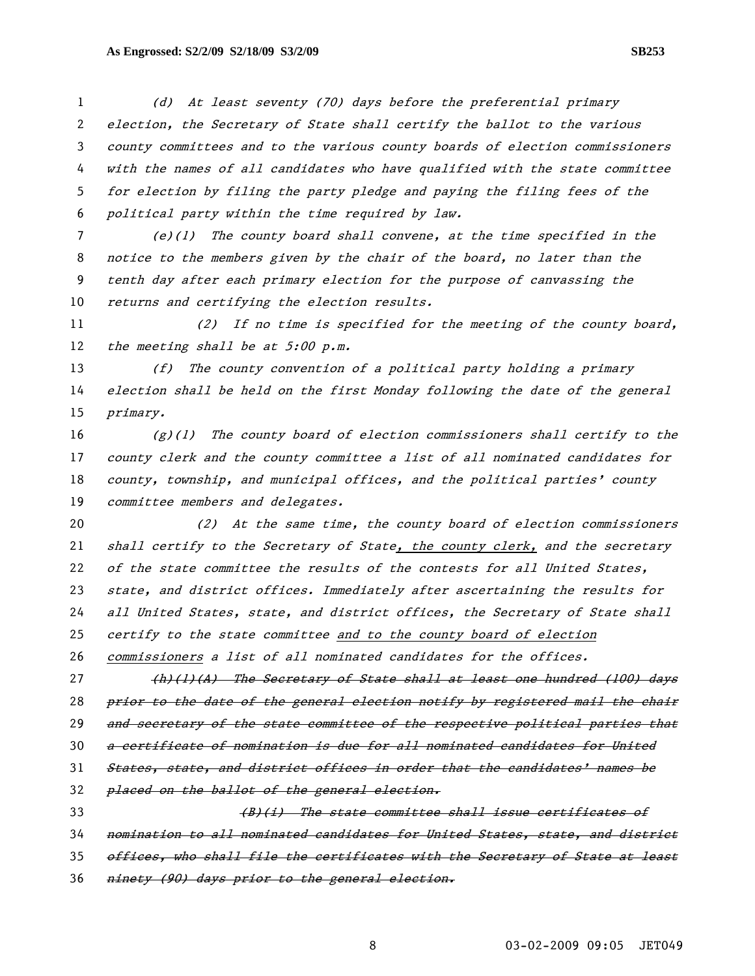(d) At least seventy (70) days before the preferential primary election, the Secretary of State shall certify the ballot to the various county committees and to the various county boards of election commissioners with the names of all candidates who have qualified with the state committee for election by filing the party pledge and paying the filing fees of the political party within the time required by law.

(e)(1) The county board shall convene, at the time specified in the notice to the members given by the chair of the board, no later than the tenth day after each primary election for the purpose of canvassing the returns and certifying the election results.

11 (2) If no time is specified for the meeting of the county board, 12 the meeting shall be at  $5:00$  p.m.

(f) The county convention of a political party holding a primary election shall be held on the first Monday following the date of the general primary.

 $(g)(1)$  The county board of election commissioners shall certify to the county clerk and the county committee a list of all nominated candidates for county, township, and municipal offices, and the political parties' county 19 committee members and delegates.

20 (2) At the same time, the county board of election commissioners shall certify to the Secretary of State, the county clerk, and the secretary 22 of the state committee the results of the contests for all United States, state, and district offices. Immediately after ascertaining the results for all United States, state, and district offices, the Secretary of State shall 25 certify to the state committee and to the county board of election commissioners a list of all nominated candidates for the offices.

27 (h)(1)(A) The Secretary of State shall at least one hundred (100) days 28 prior to the date of the general election notify by registered mail the chair 29 and secretary of the state committee of the respective political parties that a certificate of nomination is due for all nominated candidates for United States, state, and district offices in order that the candidates' names be 32 placed on the ballot of the general election. **(B)(i)** The state committee shall issue certificates of nomination to all nominated candidates for United States, state, and district

35 offices, who shall file the certificates with the Secretary of State at least

36 ninety (90) days prior to the general election.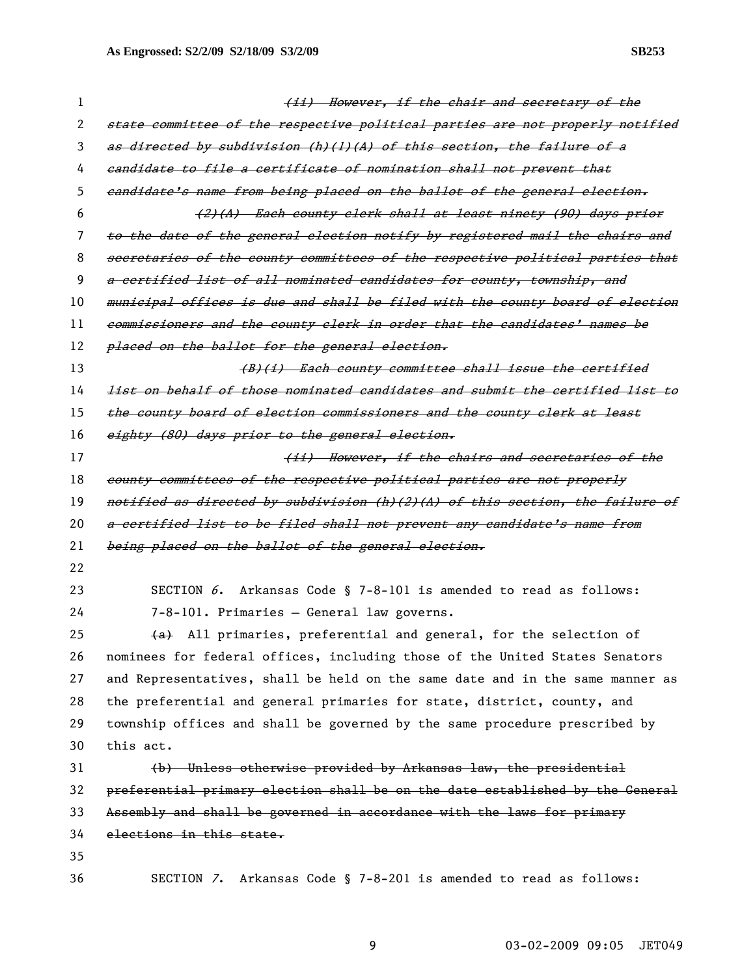| 1  | (ii) However, if the chair and secretary of the                                          |  |
|----|------------------------------------------------------------------------------------------|--|
| 2  | state committee of the respective political parties are not properly notified            |  |
| 3  | as directed by subdivision (h)(l)(A) of this section, the failure of a                   |  |
| 4  | eandidate to file a certificate of nomination shall not prevent that                     |  |
| 5  | eandidate's name from being placed on the ballot of the general election.                |  |
| 6  | (2)(A) Each county clerk shall at least ninety (90) days prior                           |  |
| 7  | to the date of the general election notify by registered mail the chairs and             |  |
| 8  | secretaries of the county committees of the respective political parties that            |  |
| 9  | a certified list of all nominated candidates for county, township, and                   |  |
| 10 | municipal offices is due and shall be filed with the county board of election            |  |
| 11 | commissioners and the county clerk in order that the candidates' names be                |  |
| 12 | placed on the ballot for the general election.                                           |  |
| 13 | (B)(i) Each county committee shall issue the certified                                   |  |
| 14 | <del>list on behalf of those nominated candidates and submit the certified list to</del> |  |
| 15 | the county board of election commissioners and the county elerk at least                 |  |
| 16 | eighty (80) days prior to the general election.                                          |  |
| 17 | (ii) However, if the chairs and secretaries of the                                       |  |
| 18 | county committees of the respective political parties are not properly                   |  |
| 19 | notified as directed by subdivision (h)(2)(A) of this section, the failure of            |  |
| 20 | a certified list to be filed shall not prevent any candidate's name from                 |  |
| 21 | being placed on the ballot of the general election.                                      |  |
| 22 |                                                                                          |  |
| 23 | Arkansas Code § 7-8-101 is amended to read as follows:<br>SECTION 6.                     |  |
| 24 | 7-8-101. Primaries - General law governs.                                                |  |
| 25 | (a) All primaries, preferential and general, for the selection of                        |  |
| 26 | nominees for federal offices, including those of the United States Senators              |  |
| 27 | and Representatives, shall be held on the same date and in the same manner as            |  |
| 28 | the preferential and general primaries for state, district, county, and                  |  |
| 29 | township offices and shall be governed by the same procedure prescribed by               |  |
| 30 | this act.                                                                                |  |
| 31 | (b) Unless otherwise provided by Arkansas law, the presidential                          |  |
| 32 | preferential primary election shall be on the date established by the General            |  |
| 33 | Assembly and shall be governed in accordance with the laws for primary                   |  |
| 34 | elections in this state.                                                                 |  |
| 35 |                                                                                          |  |
| 36 | SECTION 7. Arkansas Code § 7-8-201 is amended to read as follows:                        |  |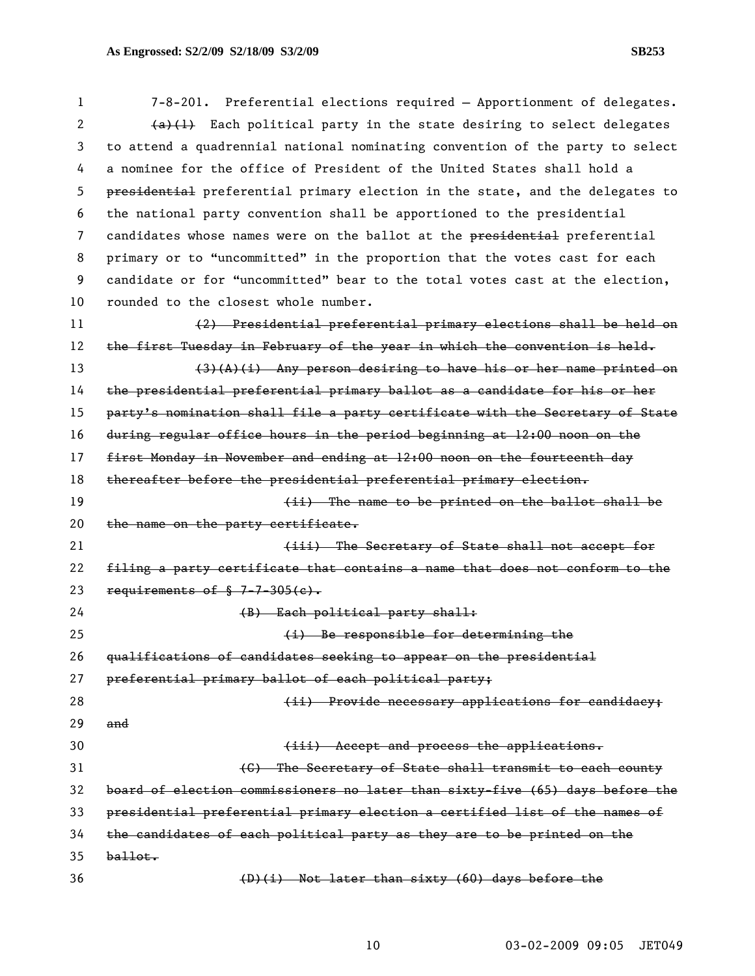| 1  | 7-8-201. Preferential elections required - Apportionment of delegates.        |
|----|-------------------------------------------------------------------------------|
| 2  | $\{a\}\{1\}$ Each political party in the state desiring to select delegates   |
| 3  | to attend a quadrennial national nominating convention of the party to select |
| 4  | a nominee for the office of President of the United States shall hold a       |
| 5  | presidential preferential primary election in the state, and the delegates to |
| 6  | the national party convention shall be apportioned to the presidential        |
| 7  | candidates whose names were on the ballot at the presidential preferential    |
| 8  | primary or to "uncommitted" in the proportion that the votes cast for each    |
| 9  | candidate or for "uncommitted" bear to the total votes cast at the election,  |
| 10 | rounded to the closest whole number.                                          |
| 11 | (2) Presidential preferential primary elections shall be held on              |
| 12 | the first Tuesday in February of the year in which the convention is held.    |
| 13 | $(3)$ (A)(i) Any person desiring to have his or her name printed on           |
| 14 | the presidential preferential primary ballot as a candidate for his or her    |
| 15 | party's nomination shall file a party certificate with the Secretary of State |
| 16 | during regular office hours in the period beginning at 12:00 noon on the      |
| 17 | first Monday in November and ending at 12:00 noon on the fourteenth day       |
| 18 | thereafter before the presidential preferential primary election.             |
| 19 | (ii) The name to be printed on the ballot shall be                            |
| 20 | the name on the party certificate.                                            |
| 21 | (iii) The Secretary of State shall not accept for                             |
| 22 | filing a party certificate that contains a name that does not conform to the  |
| 23 | requirements of $$ 7-7-305(e)$ .                                              |
| 24 | (B) Each political party shall:                                               |
| 25 | (i) Be responsible for determining the                                        |
| 26 | qualifications of candidates seeking to appear on the presidential            |
| 27 | preferential primary ballot of each political party;                          |
| 28 | (ii) Provide necessary applications for candidacy;                            |
| 29 | and                                                                           |
| 30 | (iii) Accept and process the applications.                                    |
| 31 | (C) The Secretary of State shall transmit to each county                      |
| 32 | board of election commissioners no later than sixty-five (65) days before the |
| 33 | presidential preferential primary election a certified list of the names of   |
| 34 | the candidates of each political party as they are to be printed on the       |
| 35 | $b$ allot.                                                                    |
| 36 | (D)(i) Not later than sixty (60) days before the                              |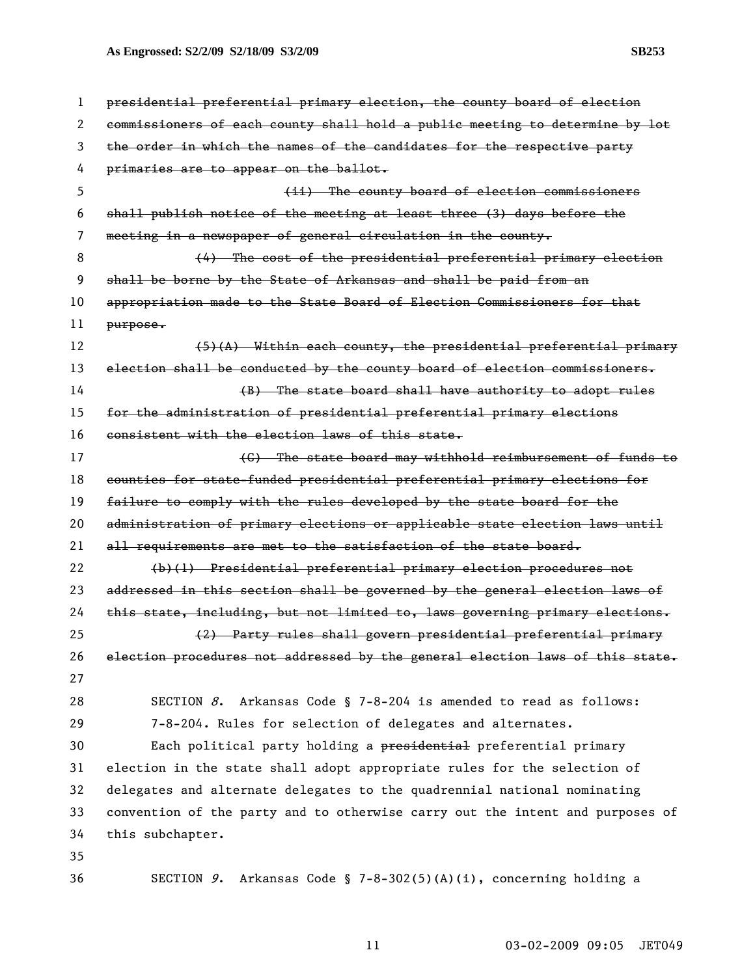**As Engrossed: S2/2/09 S2/18/09 S3/2/09 SB253** 

| $\mathbf{1}$ | presidential preferential primary election, the county board of election      |  |
|--------------|-------------------------------------------------------------------------------|--|
| 2            | commissioners of each county shall hold a public meeting to determine by lot  |  |
| 3            | the order in which the names of the candidates for the respective party       |  |
| 4            | primaries are to appear on the ballot.                                        |  |
| 5            | (ii) The county board of election commissioners                               |  |
| 6            | shall publish notice of the meeting at least three (3) days before the        |  |
| 7            | meeting in a newspaper of general circulation in the county.                  |  |
| 8            | (4) The cost of the presidential preferential primary election                |  |
| 9            | shall be borne by the State of Arkansas and shall be paid from an             |  |
| 10           | appropriation made to the State Board of Election Commissioners for that      |  |
| 11           | $purepose$                                                                    |  |
| 12           | (5)(A) Within each county, the presidential preferential primary              |  |
| 13           | election shall be conducted by the county board of election commissioners.    |  |
| 14           | (B) The state board shall have authority to adopt rules                       |  |
| 15           | for the administration of presidential preferential primary elections         |  |
| 16           | consistent with the election laws of this state.                              |  |
| 17           | (C) The state board may withhold reimbursement of funds to                    |  |
| 18           | counties for state-funded presidential preferential primary elections for     |  |
| 19           | failure to comply with the rules developed by the state board for the         |  |
| 20           | administration of primary elections or applicable state election laws until   |  |
| 21           | all requirements are met to the satisfaction of the state board.              |  |
| 22           | (b)(1) Presidential preferential primary election procedures not              |  |
| 23           | addressed in this section shall be governed by the general election laws of   |  |
| 24           | this state, including, but not limited to, laws governing primary elections.  |  |
| 25           | (2) Party rules shall govern presidential preferential primary                |  |
| 26           | election procedures not addressed by the general election laws of this state. |  |
| 27           |                                                                               |  |
| 28           | SECTION $8$ . Arkansas Code § 7-8-204 is amended to read as follows:          |  |
| 29           | 7-8-204. Rules for selection of delegates and alternates.                     |  |
| 30           | Each political party holding a presidential preferential primary              |  |
| 31           | election in the state shall adopt appropriate rules for the selection of      |  |
| 32           | delegates and alternate delegates to the quadrennial national nominating      |  |
| 33           | convention of the party and to otherwise carry out the intent and purposes of |  |
| 34           | this subchapter.                                                              |  |
| 35           |                                                                               |  |
| 36           | SECTION 9. Arkansas Code § 7-8-302(5)(A)(i), concerning holding a             |  |

11 03-02-2009 09:05 JET049